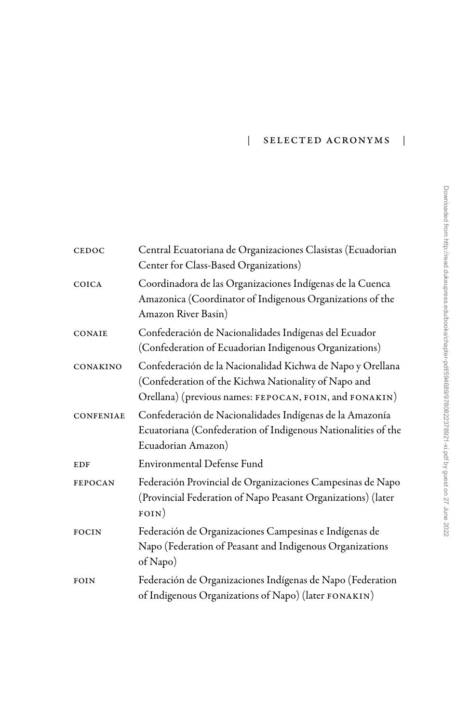## | Selected Acronyms |

| CEDOC            | Central Ecuatoriana de Organizaciones Clasistas (Ecuadorian<br>Center for Class-Based Organizations)                                                                         |
|------------------|------------------------------------------------------------------------------------------------------------------------------------------------------------------------------|
| COICA            | Coordinadora de las Organizaciones Indígenas de la Cuenca<br>Amazonica (Coordinator of Indigenous Organizations of the<br>Amazon River Basin)                                |
| CONAIE           | Confederación de Nacionalidades Indígenas del Ecuador<br>(Confederation of Ecuadorian Indigenous Organizations)                                                              |
| CONAKINO         | Confederación de la Nacionalidad Kichwa de Napo y Orellana<br>(Confederation of the Kichwa Nationality of Napo and<br>Orellana) (previous names: FEPOCAN, FOIN, and FONAKIN) |
| <b>CONFENIAE</b> | Confederación de Nacionalidades Indígenas de la Amazonía<br>Ecuatoriana (Confederation of Indigenous Nationalities of the<br>Ecuadorian Amazon)                              |
| <b>EDF</b>       | Environmental Defense Fund                                                                                                                                                   |
| <b>FEPOCAN</b>   | Federación Provincial de Organizaciones Campesinas de Napo<br>(Provincial Federation of Napo Peasant Organizations) (later<br>FOIN)                                          |
| <b>FOCIN</b>     | Federación de Organizaciones Campesinas e Indígenas de<br>Napo (Federation of Peasant and Indigenous Organizations<br>of Napo)                                               |
| FOIN             | Federación de Organizaciones Indígenas de Napo (Federation<br>of Indigenous Organizations of Napo) (later FONAKIN)                                                           |